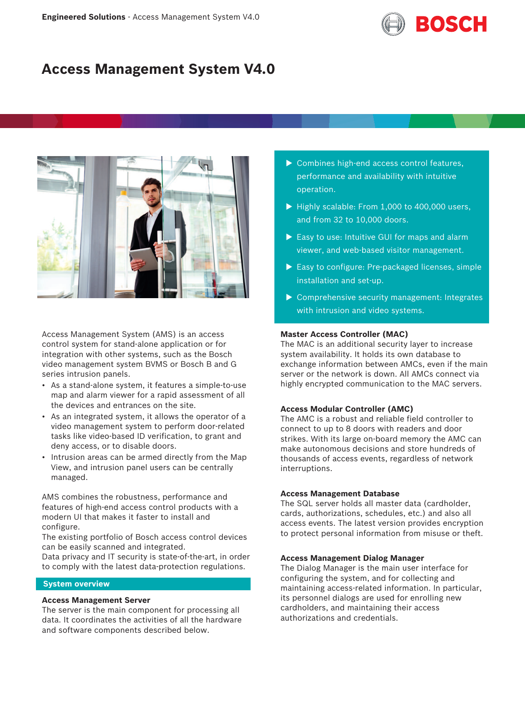

# **Access Management System V4.0**



Access Management System (AMS) is an access control system for stand-alone application or for integration with other systems, such as the Bosch video management system BVMS or Bosch B and G series intrusion panels.

- As a stand-alone system, it features a simple-to-use map and alarm viewer for a rapid assessment of all the devices and entrances on the site.
- As an integrated system, it allows the operator of a video management system to perform door-related tasks like video-based ID verification, to grant and deny access, or to disable doors.
- Intrusion areas can be armed directly from the Map View, and intrusion panel users can be centrally managed.

AMS combines the robustness, performance and features of high-end access control products with a modern UI that makes it faster to install and configure.

The existing portfolio of Bosch access control devices can be easily scanned and integrated.

Data privacy and IT security is state-of-the-art, in order to comply with the latest data-protection regulations.

# **System overview**

# **Access Management Server**

The server is the main component for processing all data. It coordinates the activities of all the hardware and software components described below.

- $\triangleright$  Combines high-end access control features, performance and availability with intuitive operation.
- $\blacktriangleright$  Highly scalable: From 1,000 to 400,000 users, and from 32 to 10,000 doors.
- $\blacktriangleright$  Easy to use: Intuitive GUI for maps and alarm viewer, and web-based visitor management.
- $\triangleright$  Easy to configure: Pre-packaged licenses, simple installation and set-up.
- $\triangleright$  Comprehensive security management: Integrates with intrusion and video systems.

### **Master Access Controller (MAC)**

The MAC is an additional security layer to increase system availability. It holds its own database to exchange information between AMCs, even if the main server or the network is down. All AMCs connect via highly encrypted communication to the MAC servers.

# **Access Modular Controller (AMC)**

The AMC is a robust and reliable field controller to connect to up to 8 doors with readers and door strikes. With its large on-board memory the AMC can make autonomous decisions and store hundreds of thousands of access events, regardless of network interruptions.

# **Access Management Database**

The SQL server holds all master data (cardholder, cards, authorizations, schedules, etc.) and also all access events. The latest version provides encryption to protect personal information from misuse or theft.

# **Access Management Dialog Manager**

The Dialog Manager is the main user interface for configuring the system, and for collecting and maintaining access-related information. In particular, its personnel dialogs are used for enrolling new cardholders, and maintaining their access authorizations and credentials.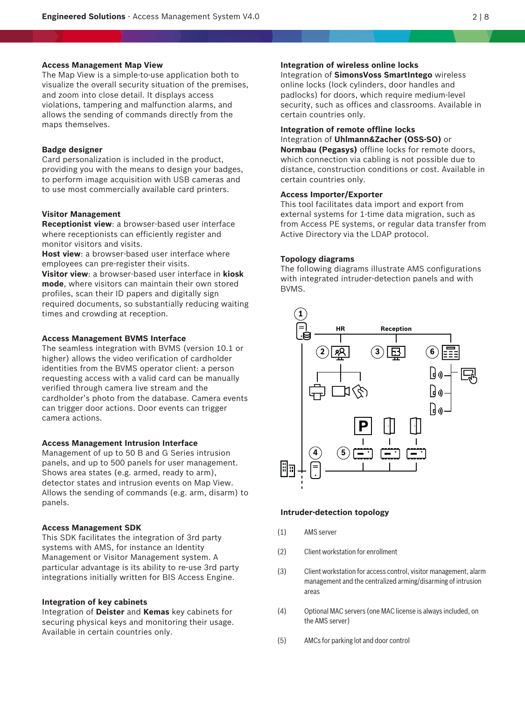#### **Access Management Map View**

The Map View is a simple-to-use application both to visualize the overall security situation of the premises, and zoom into close detail. It displays access violations, tampering and malfunction alarms, and allows the sending of commands directly from the maps themselves.

### **Badge designer**

Card personalization is included in the product, providing you with the means to design your badges, to perform image acquisition with USB cameras and to use most commercially available card printers.

# **Visitor Management**

**Receptionist view**: a browser-based user interface where receptionists can efficiently register and monitor visitors and visits.

**Host view**: a browser-based user interface where employees can pre-register their visits.

**Visitor view**: a browser-based user interface in **kiosk mode**, where visitors can maintain their own stored profiles, scan their ID papers and digitally sign required documents, so substantially reducing waiting times and crowding at reception.

### **Access Management BVMS Interface**

The seamless integration with BVMS (version 10.1 or higher) allows the video verification of cardholder identities from the BVMS operator client: a person requesting access with a valid card can be manually verified through camera live stream and the cardholder's photo from the database. Camera events can trigger door actions. Door events can trigger camera actions.

#### **Access Management Intrusion Interface**

Management of up to 50 B and G Series intrusion panels, and up to 500 panels for user management. Shows area states (e.g. armed, ready to arm), detector states and intrusion events on Map View. Allows the sending of commands (e.g. arm, disarm) to panels.

# **Access Management SDK**

This SDK facilitates the integration of 3rd party systems with AMS, for instance an Identity Management or Visitor Management system. A particular advantage is its ability to re-use 3rd party integrations initially written for BIS Access Engine.

#### **Integration of key cabinets**

Integration of **Deister** and **Kemas** key cabinets for securing physical keys and monitoring their usage. Available in certain countries only.

# **Integration of wireless online locks**

Integration of **SimonsVoss SmartIntego** wireless online locks (lock cylinders, door handles and padlocks) for doors, which require medium-level security, such as offices and classrooms. Available in certain countries only.

# **Integration of remote offline locks**

Integration of **Uhlmann&Zacher (OSS-SO)** or **Normbau (Pegasys)** offline locks for remote doors, which connection via cabling is not possible due to distance, construction conditions or cost. Available in certain countries only.

# **Access Importer/Exporter**

This tool facilitates data import and export from external systems for 1-time data migration, such as from Access PE systems, or regular data transfer from Active Directory via the LDAP protocol.

#### **Topology diagrams**

The following diagrams illustrate AMS configurations with integrated intruder-detection panels and with BVMS.



#### **Intruder-detection topology**

- (1) AMS server
- (2) Client workstation for enrollment
- (3) Client workstation for access control, visitor management, alarm management and the centralized arming/disarming of intrusion areas
- (4) Optional MAC servers (one MAC license is always included, on the AMS server)
- (5) AMCs for parking lot and door control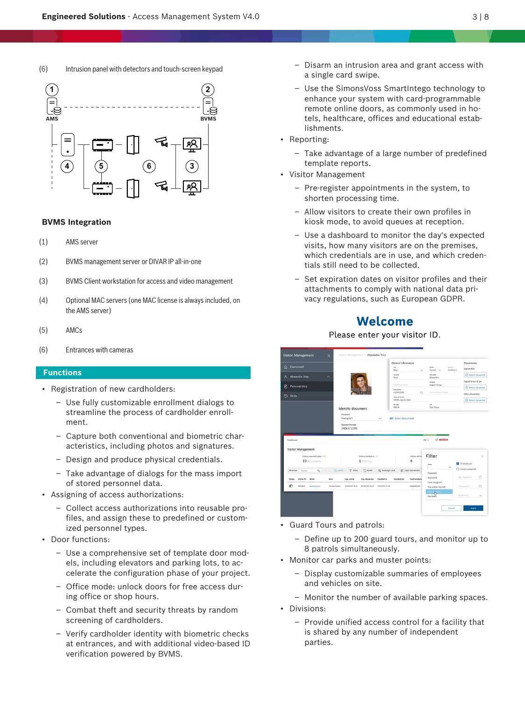# (6) Intrusion panel with detectors and touch-screen keypad



# **BVMS Integration**

- (1) AMS server
- (2) BVMS management server or DIVAR IP all-in-one
- (3) BVMS Client workstation for access and video management
- (4) Optional MAC servers (one MAC license is always included, on the AMS server)
- (5) AMCs
- (6) Entrances with cameras

# **Functions**

- Registration of new cardholders:
	- Use fully customizable enrollment dialogs to streamline the process of cardholder enrollment.
	- Capture both conventional and biometric characteristics, including photos and signatures.
	- Design and produce physical credentials.
	- Take advantage of dialogs for the mass import of stored personnel data.
- Assigning of access authorizations:
	- Collect access authorizations into reusable profiles, and assign these to predefined or customized personnel types.
- Door functions:
	- Use a comprehensive set of template door models, including elevators and parking lots, to accelerate the configuration phase of your project.
	- Office mode: unlock doors for free access during office or shop hours.
	- Combat theft and security threats by random screening of cardholders.
	- Verify cardholder identity with biometric checks at entrances, and with additional video-based ID verification powered by BVMS.
- Disarm an intrusion area and grant access with a single card swipe.
- Use the SimonsVoss SmartIntego technology to enhance your system with card-programmable remote online doors, as commonly used in hotels, healthcare, offices and educational establishments.
- Reporting:
	- Take advantage of a large number of predefined template reports.
- Visitor Management
	- Pre-register appointments in the system, to shorten processing time.
	- Allow visitors to create their own profiles in kiosk mode, to avoid queues at reception.
	- Use a dashboard to monitor the day's expected visits, how many visitors are on the premises, which credentials are in use, and which credentials still need to be collected.
	- Set expiration dates on visitor profiles and their attachments to comply with national data privacy regulations, such as European GDPR.

# **Welcome**

# Please enter your visitor ID.

| <b>Visitor Management</b>                          | Visitor Management > Alexandra Torp<br>$\times$ |                                                  |                         |                  |                                       |                              |                                       |                           |                                |               |
|----------------------------------------------------|-------------------------------------------------|--------------------------------------------------|-------------------------|------------------|---------------------------------------|------------------------------|---------------------------------------|---------------------------|--------------------------------|---------------|
| Dashboard<br>$\hat{a}$                             |                                                 |                                                  |                         |                  | General information<br>tria.<br>Miss  | $\checkmark$                 | <b>Sender</b><br>Female<br>×.         | Vehr in<br><b>MZM36LR</b> | <b>Documents</b><br>Signed NDA |               |
| $\mathcal{R}$<br>Alexandra Torp                    | $\widehat{\phantom{a}}$                         |                                                  |                         |                  | Senate<br>Torp                        |                              | First runs<br>Alexandra               |                           | C Select document              |               |
|                                                    |                                                 |                                                  |                         |                  | Additional names                      |                              | Congury<br>Bogan Group                |                           | Signed terms of use            |               |
| n<br>Personal data                                 |                                                 |                                                  |                         |                  | <b>Oute of birth</b><br>13/03/1993    | m                            | License plate nutriber                |                           | Select document                |               |
| (9)<br>Visits                                      |                                                 |                                                  |                         |                  | Street and number                     |                              |                                       |                           | Other documents                |               |
|                                                    |                                                 | Identity document                                |                         |                  | 59345 Jaycee Dale<br>29 code<br>44314 |                              | ov.<br>East Torey                     |                           | C Select document              |               |
| Dayhboard                                          |                                                 | Passport<br><b>Document number</b><br>2484470599 |                         |                  |                                       |                              | <b>BOSCH</b><br>$IN$ $\vee$           |                           |                                |               |
| Visitor Management<br>Visitors expected today: 10% |                                                 |                                                  | Visitors checked in: 1% |                  |                                       | Visitors still to            | Filter                                |                           |                                |               |
| 10/99 available                                    |                                                 |                                                  | $1/100$ max.            |                  |                                       | $\Omega$                     | Shelve                                | $\hat{\phantom{a}}$       | To check out                   |               |
| 60 entries<br>$\alpha$<br>Search                   | (b) Latest                                      | $\nabla$ Filter                                  | C Reset                 | E2 Deassign card |                                       | <sup>2</sup> Legal documents | Expected                              |                           | <b>IT</b> Visitors expected    |               |
| Status<br>Visitor ID<br>Marry                      | Host                                            | Exp. arrival                                     | Exp. departure          | Checked in       | Checked out                           | Card numbers                 | Approved                              |                           | Exp. departure                 | $\times$<br>a |
| Ø.<br>M2M36LR<br>Alexandra Jorp                    | Carmelia Beahan                                 | 27/03/2021 08:22                                 | 01/04/2021 08:22        | 17/03/2021 11:69 |                                       | 000000000002                 | Card assigned<br>The visitor has left |                           | Checked out                    | a             |
|                                                    |                                                 |                                                  |                         |                  |                                       |                              | Card operate<br>Declined              |                           | Blackfisted                    | $\checkmark$  |

- Guard Tours and patrols:
	- Define up to 200 guard tours, and monitor up to 8 patrols simultaneously.
- Monitor car parks and muster points:
	- Display customizable summaries of employees and vehicles on site.
	- Monitor the number of available parking spaces.
- Divisions:
	- Provide unified access control for a facility that is shared by any number of independent parties.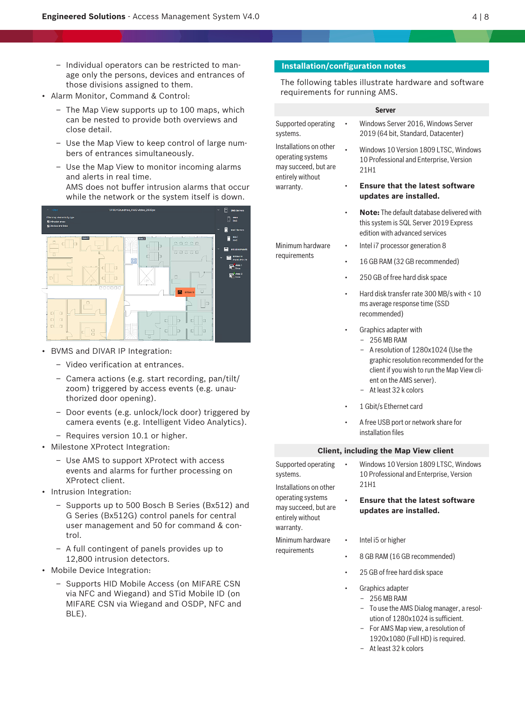- Individual operators can be restricted to manage only the persons, devices and entrances of those divisions assigned to them.
- Alarm Monitor, Command & Control:
	- The Map View supports up to 100 maps, which can be nested to provide both overviews and close detail.
	- Use the Map View to keep control of large numbers of entrances simultaneously.
	- Use the Map View to monitor incoming alarms and alerts in real time. AMS does not buffer intrusion alarms that occur while the network or the system itself is down.



- BVMS and DIVAR IP Integration:
	- Video verification at entrances.
	- Camera actions (e.g. start recording, pan/tilt/ zoom) triggered by access events (e.g. unauthorized door opening).
	- Door events (e.g. unlock/lock door) triggered by camera events (e.g. Intelligent Video Analytics).
	- Requires version 10.1 or higher.
- Milestone XProtect Integration:
	- Use AMS to support XProtect with access events and alarms for further processing on XProtect client.
- Intrusion Integration:
	- Supports up to 500 Bosch B Series (Bx512) and G Series (Bx512G) control panels for central user management and 50 for command & control.
	- A full contingent of panels provides up to 12,800 intrusion detectors.
- Mobile Device Integration:
	- Supports HID Mobile Access (on MIFARE CSN via NFC and Wiegand) and STid Mobile ID (on MIFARE CSN via Wiegand and OSDP, NFC and BLE).

# **Installation/configuration notes**

systems.

Installations on other operating systems may succeed, but are entirely without warranty.

Minimum hardware requirements

The following tables illustrate hardware and software requirements for running AMS.

#### **Server**

- Supported operating • Windows Server 2016, Windows Server 2019 (64 bit, Standard, Datacenter)
	- Windows 10 Version 1809 LTSC, Windows 10 Professional and Enterprise, Version 21H1
	- **Ensure that the latest software updates are installed.**
	- **Note:** The default database delivered with this system is SQL Server 2019 Express edition with advanced services
	- Intel i7 processor generation 8
		- 16 GB RAM (32 GB recommended)
	- 250 GB of free hard disk space
	- Hard disk transfer rate 300 MB/s with < 10 ms average response time (SSD recommended)
	- Graphics adapter with
		- $-256$  MB RAM
		- A resolution of 1280x1024 (Use the graphic resolution recommended for the client if you wish to run the Map View client on the AMS server).
		- At least 32 k colors
	- 1 Gbit/s Ethernet card
	- A free USB port or network share for installation files

# **Client, including the Map View client**

Supported operating systems. Installations on other

operating systems may succeed, but are entirely without warranty.

- Windows 10 Version 1809 LTSC, Windows 10 Professional and Enterprise, Version 21H1
- **Ensure that the latest software updates are installed.**
- Minimum hardware requirements
- Intel i5 or higher
- 8 GB RAM (16 GB recommended)
- 25 GB of free hard disk space
- Graphics adapter
	- 256 MB RAM
		- To use the AMS Dialog manager, a resolution of 1280x1024 is sufficient.
	- For AMS Map view, a resolution of 1920x1080 (Full HD) is required.
	- At least 32 k colors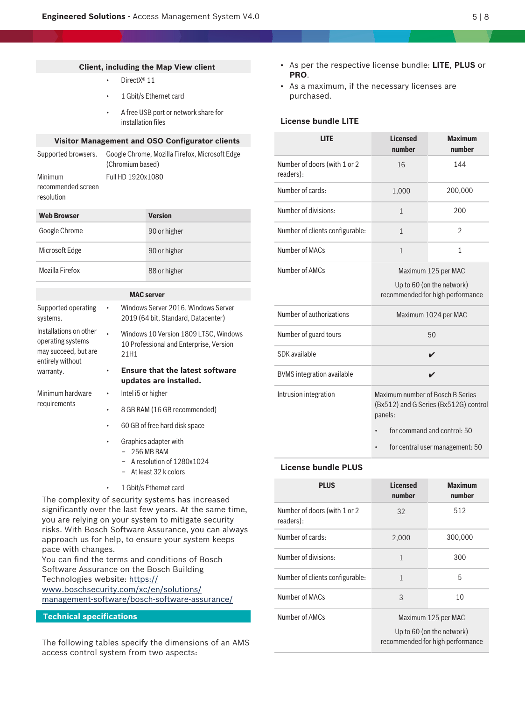# **Client, including the Map View client**

- DirectX<sup>®</sup> 11
- 1 Gbit/s Ethernet card
- A free USB port or network share for installation files

# **Visitor Management and OSO Configurator clients**

|                                  | Supported browsers. Google Chrome, Mozilla Firefox, Microsoft Edge<br>(Chromium based) |
|----------------------------------|----------------------------------------------------------------------------------------|
| Minimum                          | Full HD 1920x1080                                                                      |
| recommended screen<br>resolution |                                                                                        |

| <b>Web Browser</b> | <b>Version</b> |
|--------------------|----------------|
| Google Chrome      | 90 or higher   |
| Microsoft Edge     | 90 or higher   |
| Mozilla Firefox    | 88 or higher   |

# **MAC server**

| Supported operating<br>systems.                                                         | $\bullet$ | Windows Server 2016, Windows Server<br>2019 (64 bit, Standard, Datacenter)               |
|-----------------------------------------------------------------------------------------|-----------|------------------------------------------------------------------------------------------|
| Installations on other<br>operating systems<br>may succeed, but are<br>entirely without |           | Windows 10 Version 1809 LTSC, Windows<br>10 Professional and Enterprise, Version<br>21H1 |
| warranty.                                                                               |           | <b>Ensure that the latest software</b><br>updates are installed.                         |
| Minimum hardware<br>requirements                                                        | $\bullet$ | Intel i5 or higher                                                                       |
|                                                                                         |           | 8 GB RAM (16 GB recommended)                                                             |
|                                                                                         |           | 60 GB of free hard disk space                                                            |

- Graphics adapter with
	- 256 MB RAM
	- A resolution of 1280x1024
	- At least 32 k colors
- 1 Gbit/s Ethernet card

The complexity of security systems has increased significantly over the last few years. At the same time, you are relying on your system to mitigate security risks. With Bosch Software Assurance, you can always approach us for help, to ensure your system keeps pace with changes.

You can find the terms and conditions of Bosch Software Assurance on the Bosch Building Technologies website: [https://](https://www.boschsecurity.com/xc/en/solutions/management-software/bosch-software-assurance/) [www.boschsecurity.com/xc/en/solutions/](https://www.boschsecurity.com/xc/en/solutions/management-software/bosch-software-assurance/)

[management-software/bosch-software-assurance/](https://www.boschsecurity.com/xc/en/solutions/management-software/bosch-software-assurance/)

# **Technical specifications**

The following tables specify the dimensions of an AMS access control system from two aspects:

- As per the respective license bundle: **LITE**, **PLUS** or **PRO**.
- As a maximum, if the necessary licenses are purchased.

# **License bundle LITE**

| <b>LITE</b>                               | <b>Licensed</b><br>number                                                                                           | <b>Maximum</b><br>number                                                             |
|-------------------------------------------|---------------------------------------------------------------------------------------------------------------------|--------------------------------------------------------------------------------------|
| Number of doors (with 1 or 2<br>readers): | 16                                                                                                                  | 144                                                                                  |
| Number of cards:                          | 1,000                                                                                                               | 200,000                                                                              |
| Number of divisions:                      | $\mathbf{1}$                                                                                                        | 200                                                                                  |
| Number of clients configurable:           | $\mathbf{1}$                                                                                                        | $\overline{2}$                                                                       |
| Number of MACs                            | $\mathbf{1}$                                                                                                        | 1                                                                                    |
| Number of AMCs                            |                                                                                                                     | Maximum 125 per MAC<br>Up to 60 (on the network)<br>recommended for high performance |
| Number of authorizations                  |                                                                                                                     | Maximum 1024 per MAC                                                                 |
| Number of guard tours                     |                                                                                                                     | 50                                                                                   |
| SDK available                             |                                                                                                                     | ✔                                                                                    |
| <b>BVMS</b> integration available         |                                                                                                                     | ✔                                                                                    |
| Intrusion integration                     | Maximum number of Bosch B Series<br>(Bx512) and G Series (Bx512G) control<br>panels:<br>for command and control: 50 |                                                                                      |
|                                           |                                                                                                                     | for central user management: 50                                                      |

# **License bundle PLUS**

| <b>PLUS</b>                               | <b>Licensed</b><br>number | <b>Maximum</b><br>number                                                             |
|-------------------------------------------|---------------------------|--------------------------------------------------------------------------------------|
| Number of doors (with 1 or 2<br>readers): | 32                        | 512                                                                                  |
| Number of cards:                          | 2,000                     | 300,000                                                                              |
| Number of divisions:                      | 1                         | 300                                                                                  |
| Number of clients configurable:           | 1                         | 5                                                                                    |
| Number of MACs                            | 3                         | 10                                                                                   |
| Number of AMCs                            |                           | Maximum 125 per MAC<br>Up to 60 (on the network)<br>recommended for high performance |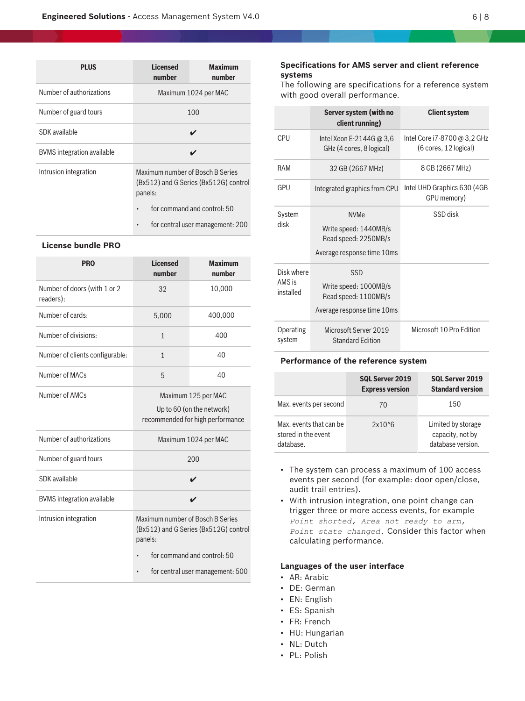| <b>PLUS</b>                | <b>Licensed</b><br>number                                                            | <b>Maximum</b><br>number         |  |
|----------------------------|--------------------------------------------------------------------------------------|----------------------------------|--|
| Number of authorizations   | Maximum 1024 per MAC                                                                 |                                  |  |
| Number of guard tours      |                                                                                      | 100                              |  |
| SDK available              |                                                                                      |                                  |  |
| BVMS integration available |                                                                                      |                                  |  |
| Intrusion integration      | Maximum number of Bosch B Series<br>(Bx512) and G Series (Bx512G) control<br>panels: |                                  |  |
|                            | $\bullet$                                                                            | for command and control: 50      |  |
|                            |                                                                                      | for central user management: 200 |  |

# **License bundle PRO**

| <b>PRO</b>                                | <b>Licensed</b><br>number                                                            | <b>Maximum</b><br>number                                                             |
|-------------------------------------------|--------------------------------------------------------------------------------------|--------------------------------------------------------------------------------------|
| Number of doors (with 1 or 2<br>readers): | 32                                                                                   | 10,000                                                                               |
| Number of cards:                          | 5,000                                                                                | 400,000                                                                              |
| Number of divisions:                      | $\mathbf{1}$                                                                         | 400                                                                                  |
| Number of clients configurable:           | $\mathbf{1}$                                                                         | 40                                                                                   |
| Number of MACs                            | 5                                                                                    | 40                                                                                   |
| Number of AMCs                            |                                                                                      | Maximum 125 per MAC<br>Up to 60 (on the network)<br>recommended for high performance |
| Number of authorizations                  |                                                                                      | Maximum 1024 per MAC                                                                 |
| Number of guard tours                     |                                                                                      | 200                                                                                  |
| SDK available                             |                                                                                      | ✔                                                                                    |
| <b>BVMS</b> integration available         |                                                                                      | ✔                                                                                    |
| Intrusion integration                     | Maximum number of Bosch B Series<br>(Bx512) and G Series (Bx512G) control<br>panels: |                                                                                      |
|                                           | $\bullet$                                                                            | for command and control: 50                                                          |
|                                           |                                                                                      | for central user management: 500                                                     |

# **Specifications for AMS server and client reference systems**

The following are specifications for a reference system with good overall performance.

|                                   | Server system (with no<br>client running)                                                  | <b>Client system</b>                                  |
|-----------------------------------|--------------------------------------------------------------------------------------------|-------------------------------------------------------|
| CPU                               | Intel Xeon E-2144G @ 3,6<br>GHz (4 cores, 8 logical)                                       | Intel Core i7-8700 @ 3,2 GHz<br>(6 cores, 12 logical) |
| RAM                               | 32 GB (2667 MHz)                                                                           | 8 GB (2667 MHz)                                       |
| GPU                               | Integrated graphics from CPU                                                               | Intel UHD Graphics 630 (4GB<br>GPU memory)            |
| System<br>disk                    | <b>NVMe</b><br>Write speed: 1440MB/s<br>Read speed: 2250MB/s<br>Average response time 10ms | SSD disk                                              |
| Disk where<br>AMS is<br>installed | SSD<br>Write speed: 1000MB/s<br>Read speed: 1100MB/s<br>Average response time 10ms         |                                                       |
| Operating<br>system               | Microsoft Server 2019<br><b>Standard Edition</b>                                           | Microsoft 10 Pro Edition                              |

#### **Performance of the reference system**

|                                                             | <b>SQL Server 2019</b><br><b>Express version</b> | <b>SQL Server 2019</b><br><b>Standard version</b>           |
|-------------------------------------------------------------|--------------------------------------------------|-------------------------------------------------------------|
| Max. events per second                                      | 70                                               | 150                                                         |
| Max, events that can be<br>stored in the event<br>database. | $2x10^{6}$                                       | Limited by storage<br>capacity, not by<br>database version. |

- The system can process a maximum of 100 access events per second (for example: door open/close, audit trail entries).
- With intrusion integration, one point change can trigger three or more access events, for example *Point shorted, Area not ready to arm, Point state changed.* Consider this factor when calculating performance.

# **Languages of the user interface**

- AR: Arabic
- DE: German
- EN: English
- ES: Spanish
- FR: French
- HU: Hungarian
- NL: Dutch
- PL: Polish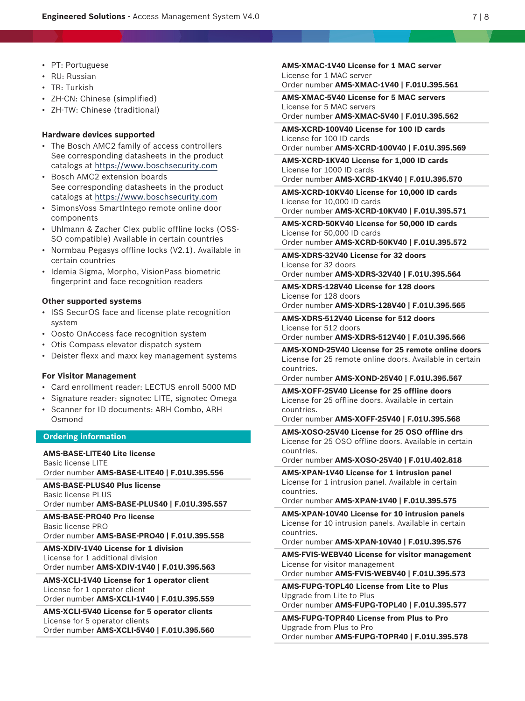- PT: Portuguese
- RU: Russian
- TR: Turkish
- ZH-CN: Chinese (simplified)
- ZH-TW: Chinese (traditional)

### **Hardware devices supported**

- The Bosch AMC2 family of access controllers See corresponding datasheets in the product catalogs at<https://www.boschsecurity.com>
- Bosch AMC2 extension boards See corresponding datasheets in the product catalogs at<https://www.boschsecurity.com>
- SimonsVoss SmartIntego remote online door components
- Uhlmann & Zacher Clex public offline locks (OSS-SO compatible) Available in certain countries
- Normbau Pegasys offline locks (V2.1). Available in certain countries
- Idemia Sigma, Morpho, VisionPass biometric fingerprint and face recognition readers

# **Other supported systems**

- ISS SecurOS face and license plate recognition system
- Oosto OnAccess face recognition system
- Otis Compass elevator dispatch system
- Deister flexx and maxx key management systems

#### **For Visitor Management**

- Card enrollment reader: LECTUS enroll 5000 MD
- Signature reader: signotec LITE, signotec Omega
- Scanner for ID documents: ARH Combo, ARH Osmond

# **Ordering information**

**AMS-BASE-LITE40 Lite license** Basic license LITE Order number **AMS-BASE-LITE40 | F.01U.395.556**

**AMS-BASE-PLUS40 Plus license** Basic license PLUS Order number **AMS-BASE-PLUS40 | F.01U.395.557**

# **AMS-BASE-PRO40 Pro license** Basic license PRO Order number **AMS-BASE-PRO40 | F.01U.395.558**

**AMS-XDIV-1V40 License for 1 division** License for 1 additional division Order number **AMS-XDIV-1V40 | F.01U.395.563**

**AMS-XCLI-1V40 License for 1 operator client** License for 1 operator client Order number **AMS-XCLI-1V40 | F.01U.395.559**

**AMS-XCLI-5V40 License for 5 operator clients** License for 5 operator clients Order number **AMS-XCLI-5V40 | F.01U.395.560** **AMS-XMAC-1V40 License for 1 MAC server** License for 1 MAC server Order number **AMS-XMAC-1V40 | F.01U.395.561**

**AMS-XMAC-5V40 License for 5 MAC servers** License for 5 MAC servers

Order number **AMS-XMAC-5V40 | F.01U.395.562 AMS-XCRD-100V40 License for 100 ID cards**

License for 100 ID cards

Order number **AMS-XCRD-100V40 | F.01U.395.569**

**AMS-XCRD-1KV40 License for 1,000 ID cards** License for 1000 ID cards

Order number **AMS-XCRD-1KV40 | F.01U.395.570**

**AMS-XCRD-10KV40 License for 10,000 ID cards** License for 10,000 ID cards

Order number **AMS-XCRD-10KV40 | F.01U.395.571**

**AMS-XCRD-50KV40 License for 50,000 ID cards** License for 50,000 ID cards

Order number **AMS-XCRD-50KV40 | F.01U.395.572**

**AMS-XDRS-32V40 License for 32 doors** License for 32 doors Order number **AMS-XDRS-32V40 | F.01U.395.564**

**AMS-XDRS-128V40 License for 128 doors** License for 128 doors Order number **AMS-XDRS-128V40 | F.01U.395.565**

**AMS-XDRS-512V40 License for 512 doors** License for 512 doors

Order number **AMS-XDRS-512V40 | F.01U.395.566**

**AMS-XOND-25V40 License for 25 remote online doors** License for 25 remote online doors. Available in certain countries.

Order number **AMS-XOND-25V40 | F.01U.395.567**

**AMS-XOFF-25V40 License for 25 offline doors** License for 25 offline doors. Available in certain countries.

Order number **AMS-XOFF-25V40 | F.01U.395.568**

**AMS-XOSO-25V40 License for 25 OSO offline drs** License for 25 OSO offline doors. Available in certain countries.

Order number **AMS-XOSO-25V40 | F.01U.402.818**

**AMS-XPAN-1V40 License for 1 intrusion panel** License for 1 intrusion panel. Available in certain countries.

Order number **AMS-XPAN-1V40 | F.01U.395.575**

**AMS-XPAN-10V40 License for 10 intrusion panels** License for 10 intrusion panels. Available in certain countries.

Order number **AMS-XPAN-10V40 | F.01U.395.576**

**AMS-FVIS-WEBV40 License for visitor management** License for visitor management

Order number **AMS-FVIS-WEBV40 | F.01U.395.573**

**AMS-FUPG-TOPL40 License from Lite to Plus** Upgrade from Lite to Plus

Order number **AMS-FUPG-TOPL40 | F.01U.395.577**

**AMS-FUPG-TOPR40 License from Plus to Pro** Upgrade from Plus to Pro Order number **AMS-FUPG-TOPR40 | F.01U.395.578**